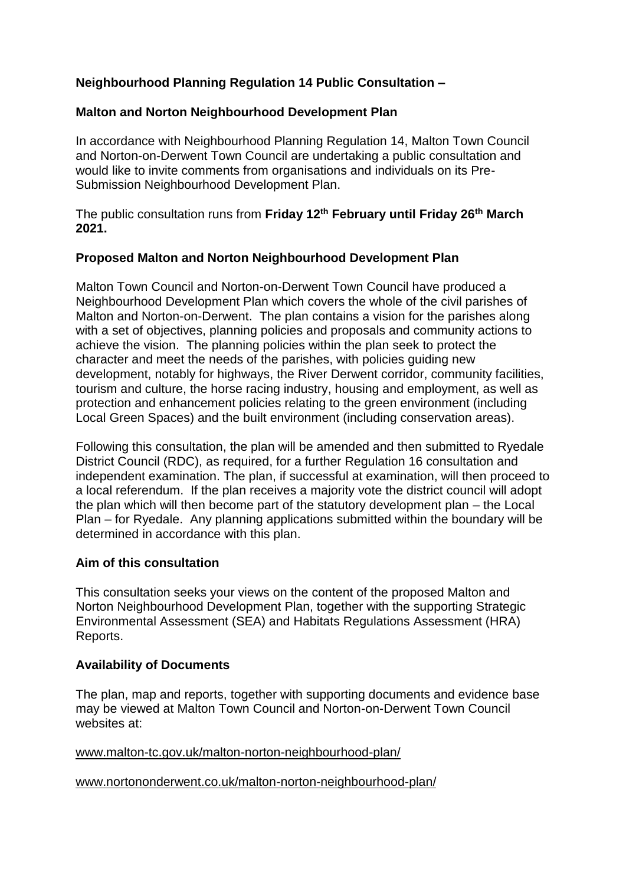# **Neighbourhood Planning Regulation 14 Public Consultation –**

## **Malton and Norton Neighbourhood Development Plan**

In accordance with Neighbourhood Planning Regulation 14, Malton Town Council and Norton-on-Derwent Town Council are undertaking a public consultation and would like to invite comments from organisations and individuals on its Pre-Submission Neighbourhood Development Plan.

The public consultation runs from **Friday 12th February until Friday 26th March 2021.**

## **Proposed Malton and Norton Neighbourhood Development Plan**

Malton Town Council and Norton-on-Derwent Town Council have produced a Neighbourhood Development Plan which covers the whole of the civil parishes of Malton and Norton-on-Derwent. The plan contains a vision for the parishes along with a set of objectives, planning policies and proposals and community actions to achieve the vision. The planning policies within the plan seek to protect the character and meet the needs of the parishes, with policies guiding new development, notably for highways, the River Derwent corridor, community facilities, tourism and culture, the horse racing industry, housing and employment, as well as protection and enhancement policies relating to the green environment (including Local Green Spaces) and the built environment (including conservation areas).

Following this consultation, the plan will be amended and then submitted to Ryedale District Council (RDC), as required, for a further Regulation 16 consultation and independent examination. The plan, if successful at examination, will then proceed to a local referendum. If the plan receives a majority vote the district council will adopt the plan which will then become part of the statutory development plan – the Local Plan – for Ryedale. Any planning applications submitted within the boundary will be determined in accordance with this plan.

## **Aim of this consultation**

This consultation seeks your views on the content of the proposed Malton and Norton Neighbourhood Development Plan, together with the supporting Strategic Environmental Assessment (SEA) and Habitats Regulations Assessment (HRA) Reports.

### **Availability of Documents**

The plan, map and reports, together with supporting documents and evidence base may be viewed at Malton Town Council and Norton-on-Derwent Town Council websites at:

www.malton-tc.gov.uk/malton-norton-neighbourhood-plan/

### www.nortononderwent.co.uk/malton-norton-neighbourhood-plan/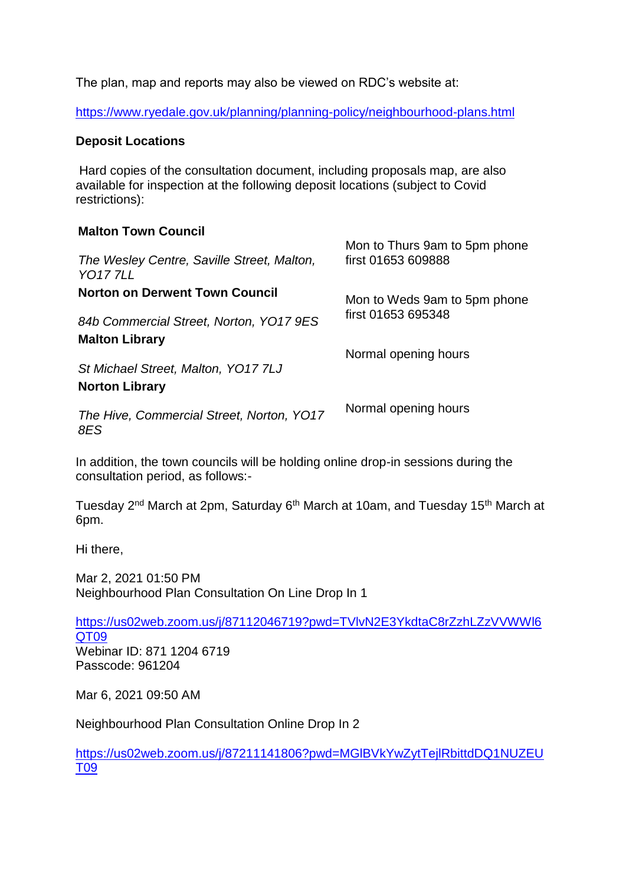The plan, map and reports may also be viewed on RDC's website at:

<https://www.ryedale.gov.uk/planning/planning-policy/neighbourhood-plans.html>

### **Deposit Locations**

Hard copies of the consultation document, including proposals map, are also available for inspection at the following deposit locations (subject to Covid restrictions):

### **Malton Town Council**

| The Wesley Centre, Saville Street, Malton,<br><b>YO177LL</b> | Mon to Thurs 9am to 5pm phone<br>first 01653 609888 |
|--------------------------------------------------------------|-----------------------------------------------------|
| <b>Norton on Derwent Town Council</b>                        | Mon to Weds 9am to 5pm phone                        |
| 84b Commercial Street, Norton, YO17 9ES                      | first 01653 695348                                  |
| <b>Malton Library</b>                                        | Normal opening hours                                |
| St Michael Street, Malton, YO17 7LJ                          |                                                     |
| <b>Norton Library</b>                                        |                                                     |
| The Hive, Commercial Street, Norton, YO17<br>8ES             | Normal opening hours                                |

In addition, the town councils will be holding online drop-in sessions during the consultation period, as follows:-

Tuesday 2<sup>nd</sup> March at 2pm, Saturday 6<sup>th</sup> March at 10am, and Tuesday 15<sup>th</sup> March at 6pm.

Hi there,

Mar 2, 2021 01:50 PM Neighbourhood Plan Consultation On Line Drop In 1

[https://us02web.zoom.us/j/87112046719?pwd=TVlvN2E3YkdtaC8rZzhLZzVVWWl6](https://us02web.zoom.us/j/87112046719?pwd=TVlvN2E3YkdtaC8rZzhLZzVVWWl6QT09) [QT09](https://us02web.zoom.us/j/87112046719?pwd=TVlvN2E3YkdtaC8rZzhLZzVVWWl6QT09) Webinar ID: 871 1204 6719 Passcode: 961204

Mar 6, 2021 09:50 AM

Neighbourhood Plan Consultation Online Drop In 2

[https://us02web.zoom.us/j/87211141806?pwd=MGlBVkYwZytTejlRbittdDQ1NUZEU](https://us02web.zoom.us/j/87211141806?pwd=MGlBVkYwZytTejlRbittdDQ1NUZEUT09) [T09](https://us02web.zoom.us/j/87211141806?pwd=MGlBVkYwZytTejlRbittdDQ1NUZEUT09)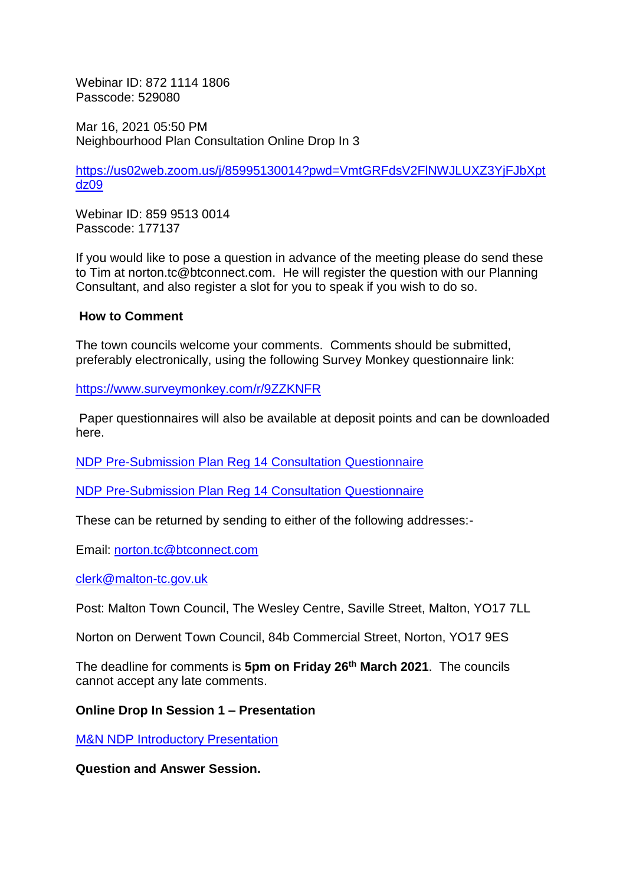Webinar ID: 872 1114 1806 Passcode: 529080

Mar 16, 2021 05:50 PM Neighbourhood Plan Consultation Online Drop In 3

[https://us02web.zoom.us/j/85995130014?pwd=VmtGRFdsV2FlNWJLUXZ3YjFJbXpt](https://us02web.zoom.us/j/85995130014?pwd=VmtGRFdsV2FlNWJLUXZ3YjFJbXptdz09) [dz09](https://us02web.zoom.us/j/85995130014?pwd=VmtGRFdsV2FlNWJLUXZ3YjFJbXptdz09)

Webinar ID: 859 9513 0014 Passcode: 177137

If you would like to pose a question in advance of the meeting please do send these to Tim at norton.tc@btconnect.com. He will register the question with our Planning Consultant, and also register a slot for you to speak if you wish to do so.

#### **How to Comment**

The town councils welcome your comments. Comments should be submitted, preferably electronically, using the following Survey Monkey questionnaire link:

<https://www.surveymonkey.com/r/9ZZKNFR>

Paper questionnaires will also be available at deposit points and can be downloaded here.

[NDP Pre-Submission Plan Reg 14 Consultation Questionnaire](https://www.nortononderwent.co.uk/wp-content/uploads/2021/03/NDP-Pre-Submission-Plan-Reg-14-Consultation-Questionnaire-1.docx)

[NDP Pre-Submission Plan Reg 14 Consultation Questionnaire](https://www.nortononderwent.co.uk/wp-content/uploads/2021/03/NDP-Pre-Submission-Plan-Reg-14-Consultation-Questionnaire.pdf)

These can be returned by sending to either of the following addresses:-

Email: [norton.tc@btconnect.com](mailto:norton.tc@btconnect.com) 

[clerk@malton-tc.gov.uk](mailto:clerk@malton-tc.gov.uk)

Post: Malton Town Council, The Wesley Centre, Saville Street, Malton, YO17 7LL

Norton on Derwent Town Council, 84b Commercial Street, Norton, YO17 9ES

The deadline for comments is **5pm on Friday 26th March 2021**. The councils cannot accept any late comments.

**Online Drop In Session 1 – Presentation**

[M&N NDP Introductory Presentation](https://www.nortononderwent.co.uk/wp-content/uploads/2021/03/MN-NDP-Introductory-Presentation.pdf)

**Question and Answer Session.**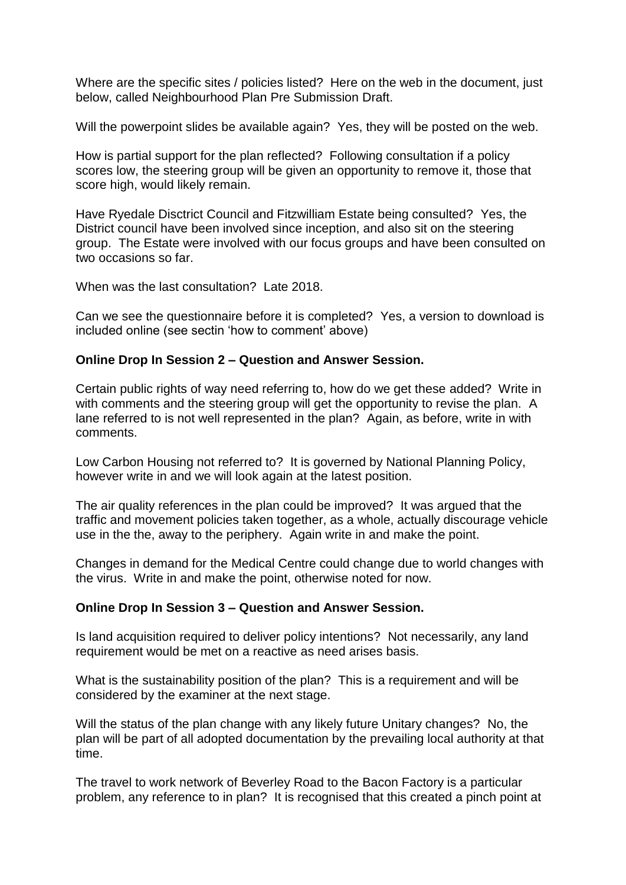Where are the specific sites / policies listed? Here on the web in the document, just below, called Neighbourhood Plan Pre Submission Draft.

Will the powerpoint slides be available again? Yes, they will be posted on the web.

How is partial support for the plan reflected? Following consultation if a policy scores low, the steering group will be given an opportunity to remove it, those that score high, would likely remain.

Have Ryedale Disctrict Council and Fitzwilliam Estate being consulted? Yes, the District council have been involved since inception, and also sit on the steering group. The Estate were involved with our focus groups and have been consulted on two occasions so far.

When was the last consultation? Late 2018.

Can we see the questionnaire before it is completed? Yes, a version to download is included online (see sectin 'how to comment' above)

### **Online Drop In Session 2 – Question and Answer Session.**

Certain public rights of way need referring to, how do we get these added? Write in with comments and the steering group will get the opportunity to revise the plan. A lane referred to is not well represented in the plan? Again, as before, write in with comments.

Low Carbon Housing not referred to? It is governed by National Planning Policy, however write in and we will look again at the latest position.

The air quality references in the plan could be improved? It was argued that the traffic and movement policies taken together, as a whole, actually discourage vehicle use in the the, away to the periphery. Again write in and make the point.

Changes in demand for the Medical Centre could change due to world changes with the virus. Write in and make the point, otherwise noted for now.

### **Online Drop In Session 3 – Question and Answer Session.**

Is land acquisition required to deliver policy intentions? Not necessarily, any land requirement would be met on a reactive as need arises basis.

What is the sustainability position of the plan? This is a requirement and will be considered by the examiner at the next stage.

Will the status of the plan change with any likely future Unitary changes? No, the plan will be part of all adopted documentation by the prevailing local authority at that time.

The travel to work network of Beverley Road to the Bacon Factory is a particular problem, any reference to in plan? It is recognised that this created a pinch point at